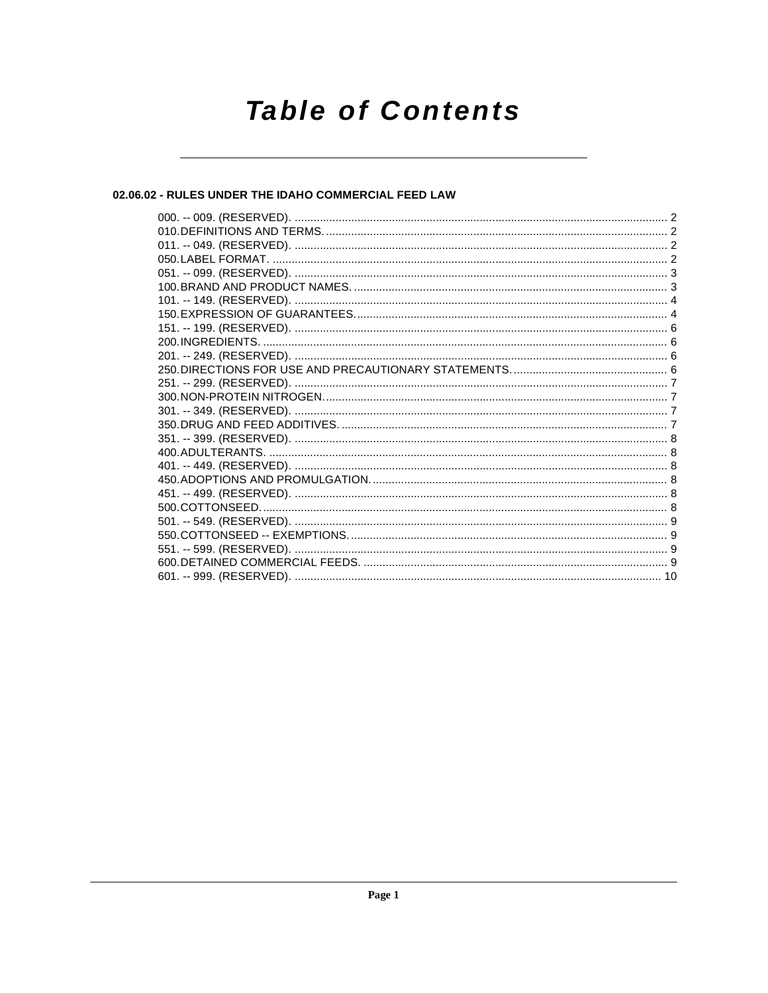# **Table of Contents**

#### 02.06.02 - RULES UNDER THE IDAHO COMMERCIAL FEED LAW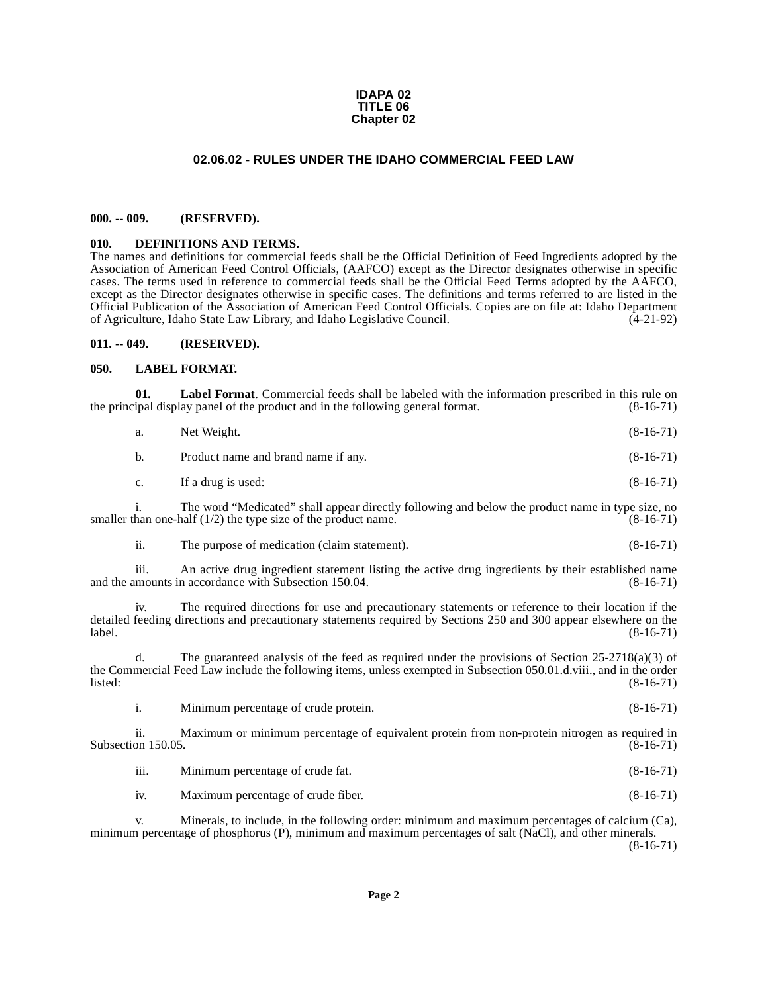#### **IDAPA 02 TITLE 06 Chapter 02**

#### **02.06.02 - RULES UNDER THE IDAHO COMMERCIAL FEED LAW**

#### <span id="page-1-1"></span><span id="page-1-0"></span>**000. -- 009. (RESERVED).**

#### <span id="page-1-5"></span><span id="page-1-2"></span>**010. DEFINITIONS AND TERMS.**

The names and definitions for commercial feeds shall be the Official Definition of Feed Ingredients adopted by the Association of American Feed Control Officials, (AAFCO) except as the Director designates otherwise in specific cases. The terms used in reference to commercial feeds shall be the Official Feed Terms adopted by the AAFCO, except as the Director designates otherwise in specific cases. The definitions and terms referred to are listed in the Official Publication of the Association of American Feed Control Officials. Copies are on file at: Idaho Department of Agriculture, Idaho State Law Library, and Idaho Legislative Council.

#### <span id="page-1-3"></span>**011. -- 049. (RESERVED).**

#### <span id="page-1-6"></span><span id="page-1-4"></span>**050. LABEL FORMAT.**

**01.** Label Format. Commercial feeds shall be labeled with the information prescribed in this rule on ipal display panel of the product and in the following general format. (8-16-71) the principal display panel of the product and in the following general format.

| а.          | Net Weight.                         | $(8-16-71)$ |
|-------------|-------------------------------------|-------------|
| b.          | Product name and brand name if any. | $(8-16-71)$ |
| $c_{\cdot}$ | If a drug is used:                  | $(8-16-71)$ |

i. The word "Medicated" shall appear directly following and below the product name in type size, no smaller than one-half  $(1/2)$  the type size of the product name. (8-16-71)

| 11. | The purpose of medication (claim statement). | $(8-16-71)$ |
|-----|----------------------------------------------|-------------|
|-----|----------------------------------------------|-------------|

iii. An active drug ingredient statement listing the active drug ingredients by their established name and the amounts in accordance with Subsection 150.04.

iv. The required directions for use and precautionary statements or reference to their location if the detailed feeding directions and precautionary statements required by Sections 250 and 300 appear elsewhere on the label. (8-16-71) label. (8-16-71)

d. The guaranteed analysis of the feed as required under the provisions of Section  $25-2718(a)(3)$  of the Commercial Feed Law include the following items, unless exempted in Subsection 050.01.d.viii., and in the order<br>(8-16-71) listed: (8-16-71)

i. Minimum percentage of crude protein. (8-16-71)

ii. Maximum or minimum percentage of equivalent protein from non-protein nitrogen as required in on 150.05. (8-16-71) Subsection 150.05.

iii. Minimum percentage of crude fat. (8-16-71)

iv. Maximum percentage of crude fiber. (8-16-71)

v. Minerals, to include, in the following order: minimum and maximum percentages of calcium (Ca), minimum percentage of phosphorus (P), minimum and maximum percentages of salt (NaCl), and other minerals. (8-16-71)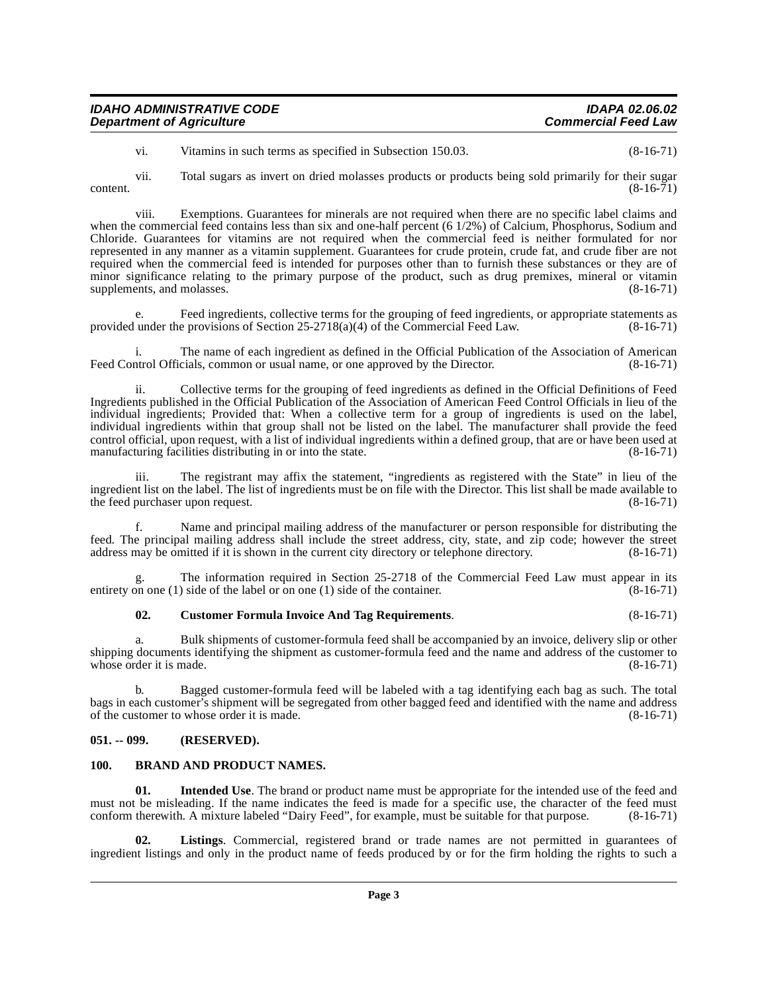| <b>IDAHO ADMINISTRATIVE CODE</b> | IDAPA 02.06.02             |
|----------------------------------|----------------------------|
| <b>Department of Agriculture</b> | <b>Commercial Feed Law</b> |
|                                  |                            |

vi. Vitamins in such terms as specified in Subsection 150.03. (8-16-71)

 $\text{content.}$  (8-16-71)

vii. Total sugars as invert on dried molasses products or products being sold primarily for their sugar

viii. Exemptions. Guarantees for minerals are not required when there are no specific label claims and when the commercial feed contains less than six and one-half percent (6 1/2%) of Calcium, Phosphorus, Sodium and Chloride. Guarantees for vitamins are not required when the commercial feed is neither formulated for nor represented in any manner as a vitamin supplement. Guarantees for crude protein, crude fat, and crude fiber are not required when the commercial feed is intended for purposes other than to furnish these substances or they are of minor significance relating to the primary purpose of the product, such as drug premixes, mineral or vitamin supplements, and molasses. (8-16-71)

Feed ingredients, collective terms for the grouping of feed ingredients, or appropriate statements as provided under the provisions of Section 25-2718(a)(4) of the Commercial Feed Law. (8-16-71)

i. The name of each ingredient as defined in the Official Publication of the Association of American trol Officials, common or usual name, or one approved by the Director. (8-16-71) Feed Control Officials, common or usual name, or one approved by the Director.

ii. Collective terms for the grouping of feed ingredients as defined in the Official Definitions of Feed Ingredients published in the Official Publication of the Association of American Feed Control Officials in lieu of the individual ingredients; Provided that: When a collective term for a group of ingredients is used on the label, individual ingredients within that group shall not be listed on the label. The manufacturer shall provide the feed control official, upon request, with a list of individual ingredients within a defined group, that are or have been used at manufacturing facilities distributing in or into the state. (8-16-71)

iii. The registrant may affix the statement, "ingredients as registered with the State" in lieu of the ingredient list on the label. The list of ingredients must be on file with the Director. This list shall be made available to the feed purchaser upon request. (8-16-71)

f. Name and principal mailing address of the manufacturer or person responsible for distributing the feed. The principal mailing address shall include the street address, city, state, and zip code; however the street address may be omitted if it is shown in the current city directory or telephone directory. (8-16-71) address may be omitted if it is shown in the current city directory or telephone directory.

The information required in Section 25-2718 of the Commercial Feed Law must appear in its  $\beta$  side of the label or on one (1) side of the container. (8-16-71) entirety on one  $(1)$  side of the label or on one  $(1)$  side of the container.

#### <span id="page-2-3"></span>**02. Customer Formula Invoice And Tag Requirements**. (8-16-71)

a. Bulk shipments of customer-formula feed shall be accompanied by an invoice, delivery slip or other shipping documents identifying the shipment as customer-formula feed and the name and address of the customer to whose order it is made. (8-16-71) whose order it is made.

b. Bagged customer-formula feed will be labeled with a tag identifying each bag as such. The total bags in each customer's shipment will be segregated from other bagged feed and identified with the name and address of the customer to whose order it is made. of the customer to whose order it is made.

#### <span id="page-2-0"></span>**051. -- 099. (RESERVED).**

#### <span id="page-2-2"></span><span id="page-2-1"></span>**100. BRAND AND PRODUCT NAMES.**

<span id="page-2-4"></span>**Intended Use**. The brand or product name must be appropriate for the intended use of the feed and must not be misleading. If the name indicates the feed is made for a specific use, the character of the feed must conform therewith. A mixture labeled "Dairy Feed", for example, must be suitable for that purpose. (8-16-71)

<span id="page-2-5"></span>Listings. Commercial, registered brand or trade names are not permitted in guarantees of ingredient listings and only in the product name of feeds produced by or for the firm holding the rights to such a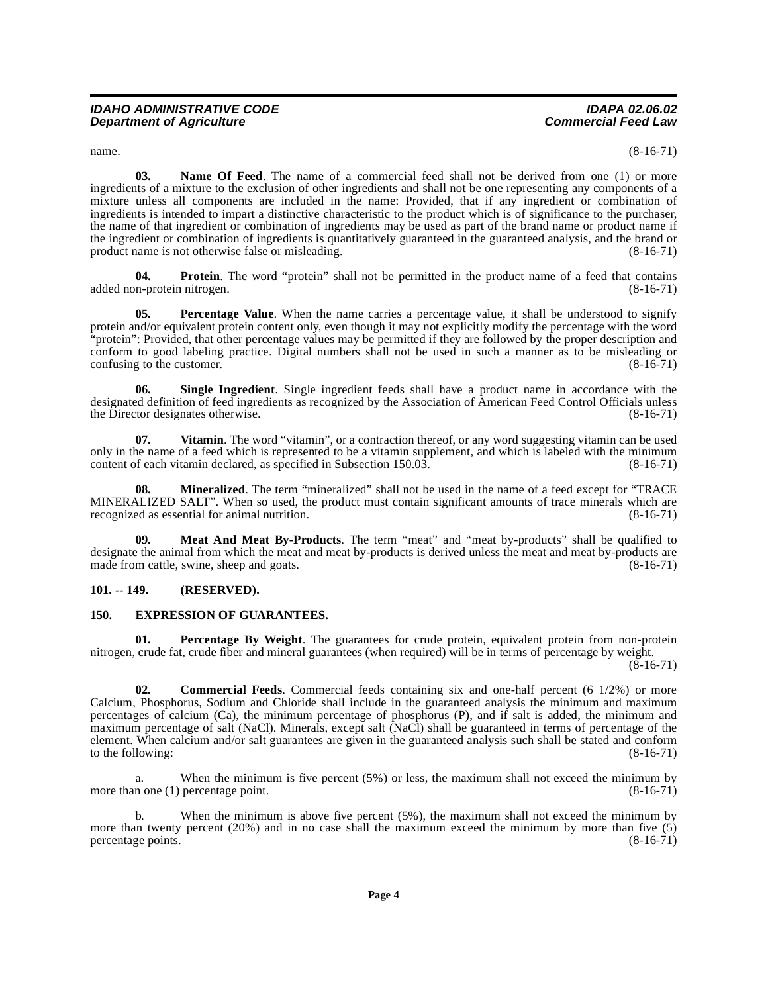<span id="page-3-6"></span> $n = (8-16-71)$ 

**03. Name Of Feed**. The name of a commercial feed shall not be derived from one (1) or more ingredients of a mixture to the exclusion of other ingredients and shall not be one representing any components of a mixture unless all components are included in the name: Provided, that if any ingredient or combination of ingredients is intended to impart a distinctive characteristic to the product which is of significance to the purchaser, the name of that ingredient or combination of ingredients may be used as part of the brand name or product name if the ingredient or combination of ingredients is quantitatively guaranteed in the guaranteed analysis, and the brand or product name is not otherwise false or misleading. (8-16-71)

<span id="page-3-9"></span>**04. Protein**. The word "protein" shall not be permitted in the product name of a feed that contains on-protein nitrogen. (8-16-71) added non-protein nitrogen.

<span id="page-3-8"></span>**05.** Percentage Value. When the name carries a percentage value, it shall be understood to signify protein and/or equivalent protein content only, even though it may not explicitly modify the percentage with the word "protein": Provided, that other percentage values may be permitted if they are followed by the proper description and conform to good labeling practice. Digital numbers shall not be used in such a manner as to be misleading or confusing to the customer. confusing to the customer.

<span id="page-3-10"></span>**06. Single Ingredient**. Single ingredient feeds shall have a product name in accordance with the designated definition of feed ingredients as recognized by the Association of American Feed Control Officials unless<br>the Director designates otherwise. (8-16-71) the Director designates otherwise.

<span id="page-3-11"></span>**07.** Vitamin. The word "vitamin", or a contraction thereof, or any word suggesting vitamin can be used only in the name of a feed which is represented to be a vitamin supplement, and which is labeled with the minimum content of each vitamin declared, as specified in Subsection 150.03. content of each vitamin declared, as specified in Subsection  $150.03$ .

<span id="page-3-5"></span>**08. Mineralized**. The term "mineralized" shall not be used in the name of a feed except for "TRACE MINERALIZED SALT". When so used, the product must contain significant amounts of trace minerals which are recognized as essential for animal nutrition. (8-16-71)

<span id="page-3-4"></span>**09. Meat And Meat By-Products**. The term "meat" and "meat by-products" shall be qualified to designate the animal from which the meat and meat by-products is derived unless the meat and meat by-products are made from cattle, swine, sheep and goats. (8-16-71)

#### <span id="page-3-0"></span>**101. -- 149. (RESERVED).**

#### <span id="page-3-3"></span><span id="page-3-1"></span>**150. EXPRESSION OF GUARANTEES.**

<span id="page-3-7"></span>**01.** Percentage By Weight. The guarantees for crude protein, equivalent protein from non-protein nitrogen, crude fat, crude fiber and mineral guarantees (when required) will be in terms of percentage by weight.

(8-16-71)

<span id="page-3-2"></span>**02. Commercial Feeds**. Commercial feeds containing six and one-half percent (6 1/2%) or more Calcium, Phosphorus, Sodium and Chloride shall include in the guaranteed analysis the minimum and maximum percentages of calcium (Ca), the minimum percentage of phosphorus (P), and if salt is added, the minimum and maximum percentage of salt (NaCl). Minerals, except salt (NaCl) shall be guaranteed in terms of percentage of the element. When calcium and/or salt guarantees are given in the guaranteed analysis such shall be stated and conform to the following:  $(8-16-71)$ 

a. When the minimum is five percent (5%) or less, the maximum shall not exceed the minimum by more than one (1) percentage point. (8-16-71)

b. When the minimum is above five percent (5%), the maximum shall not exceed the minimum by more than twenty percent (20%) and in no case shall the maximum exceed the minimum by more than five  $(5)$  percentage points.  $(8-16-71)$ percentage points.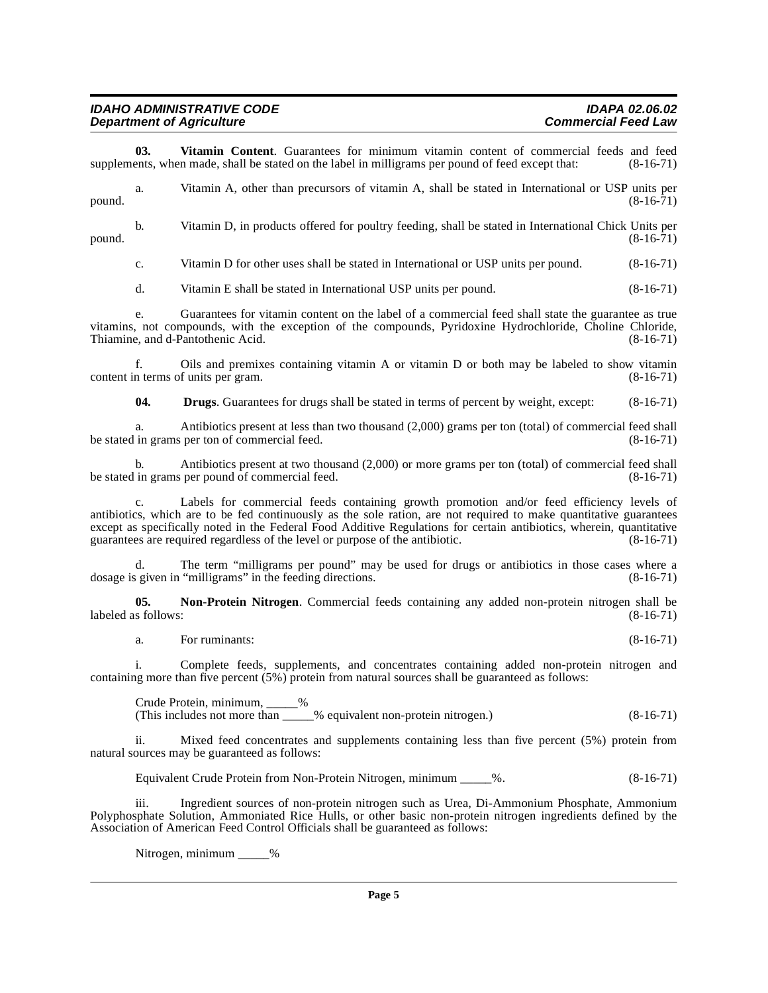| <b>IDAHO ADMINISTRATIVE CODE</b> |  |
|----------------------------------|--|
| <b>Department of Agriculture</b> |  |

<span id="page-4-1"></span>**03. Vitamin Content**. Guarantees for minimum vitamin content of commercial feeds and feed ents, when made, shall be stated on the label in milligrams per pound of feed except that: (8-16-71) supplements, when made, shall be stated on the label in milligrams per pound of feed except that:

a. Vitamin A, other than precursors of vitamin A, shall be stated in International or USP units per  $p$ ound.  $(8-16-71)$ 

b. Vitamin D, in products offered for poultry feeding, shall be stated in International Chick Units per  $p$ ound.  $(8-16-71)$ 

c. Vitamin D for other uses shall be stated in International or USP units per pound. (8-16-71)

d. Vitamin E shall be stated in International USP units per pound. (8-16-71)

e. Guarantees for vitamin content on the label of a commercial feed shall state the guarantee as true vitamins, not compounds, with the exception of the compounds, Pyridoxine Hydrochloride, Choline Chloride, Thiamine, and d-Pantothenic Acid.

f. Oils and premixes containing vitamin A or vitamin D or both may be labeled to show vitamin content in terms of units per gram. (8-16-71)

**04. Drugs**. Guarantees for drugs shall be stated in terms of percent by weight, except:  $(8-16-71)$ 

a. Antibiotics present at less than two thousand (2,000) grams per ton (total) of commercial feed shall in grams per ton of commercial feed. (8-16-71) be stated in grams per ton of commercial feed.

b. Antibiotics present at two thousand (2,000) or more grams per ton (total) of commercial feed shall in grams per pound of commercial feed. (8-16-71) be stated in grams per pound of commercial feed.

Labels for commercial feeds containing growth promotion and/or feed efficiency levels of antibiotics, which are to be fed continuously as the sole ration, are not required to make quantitative guarantees except as specifically noted in the Federal Food Additive Regulations for certain antibiotics, wherein, quantitative guarantees are required regardless of the level or purpose of the antibiotic. (8-16-71)

d. The term "milligrams per pound" may be used for drugs or antibiotics in those cases where a given in "milligrams" in the feeding directions. (8-16-71) dosage is given in "milligrams" in the feeding directions.

**05. Non-Protein Nitrogen**. Commercial feeds containing any added non-protein nitrogen shall be  $\mu$  labeled as follows: (8-16-71)

<span id="page-4-0"></span>a. For ruminants: (8-16-71)

i. Complete feeds, supplements, and concentrates containing added non-protein nitrogen and containing more than five percent (5%) protein from natural sources shall be guaranteed as follows:

Crude Protein, minimum, \_\_\_\_\_% (This includes not more than \_\_\_\_\_% equivalent non-protein nitrogen.) (8-16-71)

ii. Mixed feed concentrates and supplements containing less than five percent (5%) protein from natural sources may be guaranteed as follows:

Equivalent Crude Protein from Non-Protein Nitrogen, minimum \_\_\_\_\_%. (8-16-71)

iii. Ingredient sources of non-protein nitrogen such as Urea, Di-Ammonium Phosphate, Ammonium Polyphosphate Solution, Ammoniated Rice Hulls, or other basic non-protein nitrogen ingredients defined by the Association of American Feed Control Officials shall be guaranteed as follows:

Nitrogen, minimum \_\_\_\_\_%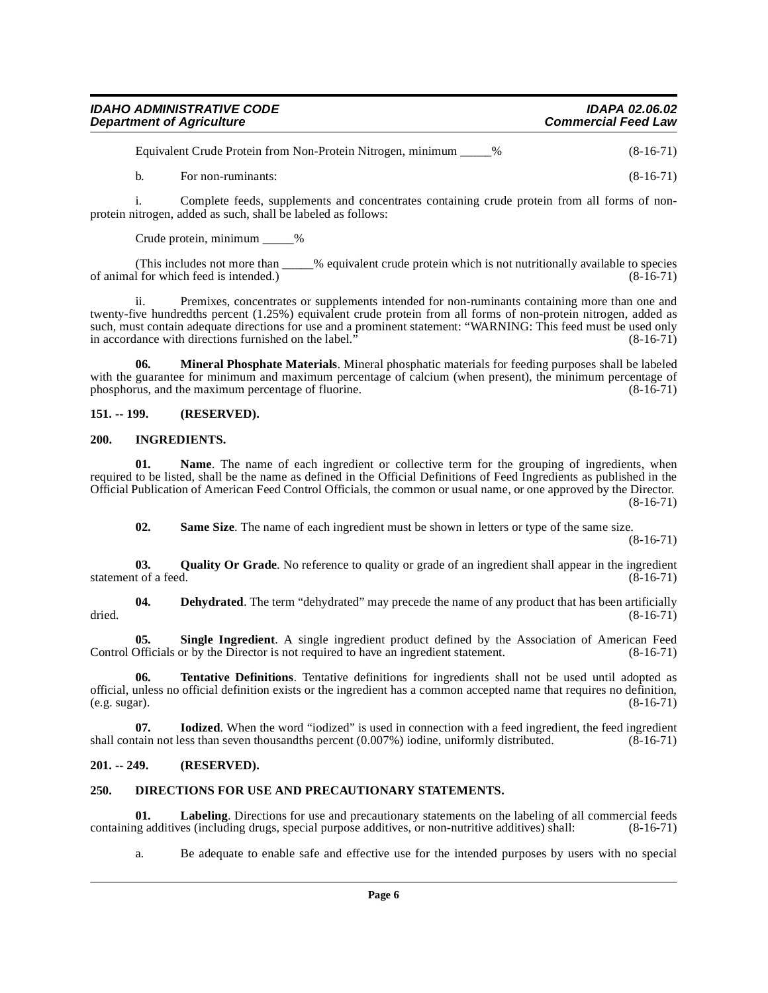| <b>Department of Agriculture</b> | IDAPA 02.06.02             |
|----------------------------------|----------------------------|
|                                  | <b>Commercial Feed Law</b> |

Equivalent Crude Protein from Non-Protein Nitrogen, minimum \_\_\_\_\_% (8-16-71)

b. For non-ruminants:  $(8-16-71)$ 

i. Complete feeds, supplements and concentrates containing crude protein from all forms of nonprotein nitrogen, added as such, shall be labeled as follows:

Crude protein, minimum %

(This includes not more than \_\_\_\_\_% equivalent crude protein which is not nutritionally available to species of for which feed is intended.) of animal for which feed is intended.)

ii. Premixes, concentrates or supplements intended for non-ruminants containing more than one and twenty-five hundredths percent (1.25%) equivalent crude protein from all forms of non-protein nitrogen, added as such, must contain adequate directions for use and a prominent statement: "WARNING: This feed must be used only<br>in accordance with directions furnished on the label." (8-16-71) in accordance with directions furnished on the label.'

<span id="page-5-9"></span>**06. Mineral Phosphate Materials**. Mineral phosphatic materials for feeding purposes shall be labeled with the guarantee for minimum and maximum percentage of calcium (when present), the minimum percentage of phosphorus, and the maximum percentage of fluorine. phosphorus, and the maximum percentage of fluorine.

#### <span id="page-5-0"></span>**151. -- 199. (RESERVED).**

#### <span id="page-5-6"></span><span id="page-5-1"></span>**200. INGREDIENTS.**

**01.** Name. The name of each ingredient or collective term for the grouping of ingredients, when required to be listed, shall be the name as defined in the Official Definitions of Feed Ingredients as published in the Official Publication of American Feed Control Officials, the common or usual name, or one approved by the Director.  $(8-16-71)$ 

<span id="page-5-12"></span><span id="page-5-11"></span><span id="page-5-10"></span><span id="page-5-4"></span>**02.** Same Size. The name of each ingredient must be shown in letters or type of the same size.

(8-16-71)

**03.** Quality Or Grade. No reference to quality or grade of an ingredient shall appear in the ingredient t of a feed. (8-16-71) statement of a feed.

**04. Dehydrated**. The term "dehydrated" may precede the name of any product that has been artificially dried.  $(8-16-71)$ 

<span id="page-5-13"></span>**05. Single Ingredient**. A single ingredient product defined by the Association of American Feed Control Officials or by the Director is not required to have an ingredient statement. (8-16-71)

<span id="page-5-14"></span>**06. Tentative Definitions**. Tentative definitions for ingredients shall not be used until adopted as official, unless no official definition exists or the ingredient has a common accepted name that requires no definition,  $(e.g. sugar)$ . (8-16-71)  $(e.g. sugar).$ 

<span id="page-5-7"></span>**07. Iodized**. When the word "iodized" is used in connection with a feed ingredient, the feed ingredient shall contain not less than seven thousandths percent  $(0.007%)$  iodine, uniformly distributed.  $(\overline{8} \text{-} 16 \text{-} 71)$ 

#### <span id="page-5-2"></span>**201. -- 249. (RESERVED).**

#### <span id="page-5-5"></span><span id="page-5-3"></span>**250. DIRECTIONS FOR USE AND PRECAUTIONARY STATEMENTS.**

**01.** Labeling. Directions for use and precautionary statements on the labeling of all commercial feeds use and additives (including drugs, special purpose additives, or non-nutritive additives) shall: (8-16-71) containing additives (including drugs, special purpose additives, or non-nutritive additives) shall:

<span id="page-5-8"></span>a. Be adequate to enable safe and effective use for the intended purposes by users with no special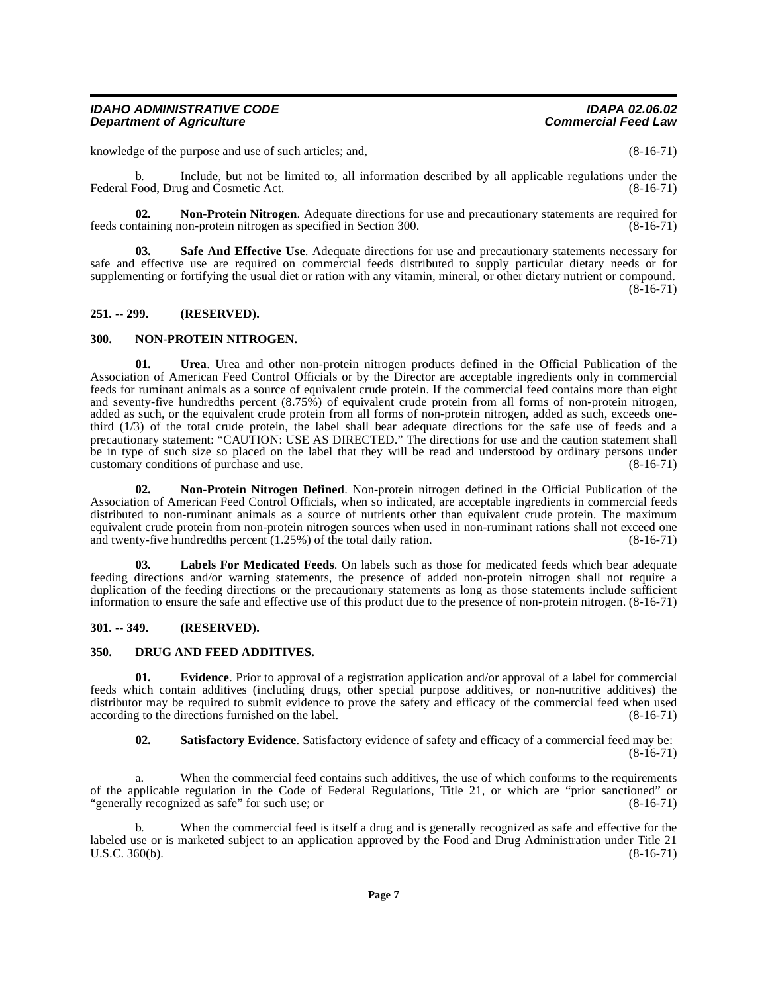knowledge of the purpose and use of such articles; and, (8-16-71)

b. Include, but not be limited to, all information described by all applicable regulations under the Federal Food, Drug and Cosmetic Act.

<span id="page-6-9"></span>**02.** Non-Protein Nitrogen. Adequate directions for use and precautionary statements are required for taining non-protein nitrogen as specified in Section 300. feeds containing non-protein nitrogen as specified in Section 300.

<span id="page-6-10"></span>**03. Safe And Effective Use**. Adequate directions for use and precautionary statements necessary for safe and effective use are required on commercial feeds distributed to supply particular dietary needs or for supplementing or fortifying the usual diet or ration with any vitamin, mineral, or other dietary nutrient or compound. (8-16-71)

#### <span id="page-6-0"></span>**251. -- 299. (RESERVED).**

#### <span id="page-6-7"></span><span id="page-6-1"></span>**300. NON-PROTEIN NITROGEN.**

<span id="page-6-12"></span>**01. Urea**. Urea and other non-protein nitrogen products defined in the Official Publication of the Association of American Feed Control Officials or by the Director are acceptable ingredients only in commercial feeds for ruminant animals as a source of equivalent crude protein. If the commercial feed contains more than eight and seventy-five hundredths percent (8.75%) of equivalent crude protein from all forms of non-protein nitrogen, added as such, or the equivalent crude protein from all forms of non-protein nitrogen, added as such, exceeds onethird (1/3) of the total crude protein, the label shall bear adequate directions for the safe use of feeds and a precautionary statement: "CAUTION: USE AS DIRECTED." The directions for use and the caution statement shall be in type of such size so placed on the label that they will be read and understood by ordinary persons under customary conditions of purchase and use. (8-16-71) customary conditions of purchase and use.

<span id="page-6-8"></span>**02. Non-Protein Nitrogen Defined**. Non-protein nitrogen defined in the Official Publication of the Association of American Feed Control Officials, when so indicated, are acceptable ingredients in commercial feeds distributed to non-ruminant animals as a source of nutrients other than equivalent crude protein. The maximum equivalent crude protein from non-protein nitrogen sources when used in non-ruminant rations shall not exceed one and twenty-five hundredths percent  $(1.25\%)$  of the total daily ration.  $(8-16-71)$ 

<span id="page-6-6"></span>**03. Labels For Medicated Feeds**. On labels such as those for medicated feeds which bear adequate feeding directions and/or warning statements, the presence of added non-protein nitrogen shall not require a duplication of the feeding directions or the precautionary statements as long as those statements include sufficient information to ensure the safe and effective use of this product due to the presence of non-protein nitrogen. (8-16-71)

#### <span id="page-6-2"></span>**301. -- 349. (RESERVED).**

#### <span id="page-6-4"></span><span id="page-6-3"></span>**350. DRUG AND FEED ADDITIVES.**

**01. Evidence**. Prior to approval of a registration application and/or approval of a label for commercial feeds which contain additives (including drugs, other special purpose additives, or non-nutritive additives) the distributor may be required to submit evidence to prove the safety and efficacy of the commercial feed when used according to the directions furnished on the label. (8-16-71) according to the directions furnished on the label.

<span id="page-6-11"></span><span id="page-6-5"></span>**02. Satisfactory Evidence**. Satisfactory evidence of safety and efficacy of a commercial feed may be:  $(8-16-71)$ 

a. When the commercial feed contains such additives, the use of which conforms to the requirements of the applicable regulation in the Code of Federal Regulations, Title 21, or which are "prior sanctioned" or "generally recognized as safe" for such use; or (8-16-71) "generally recognized as safe" for such use; or

b. When the commercial feed is itself a drug and is generally recognized as safe and effective for the [labeled use or is marketed subject to an application approved by the Food and Drug Administration under Title 21](http://www4.law.cornell.edu/uscode/21/360.html)  $U.S.C. 360(b).$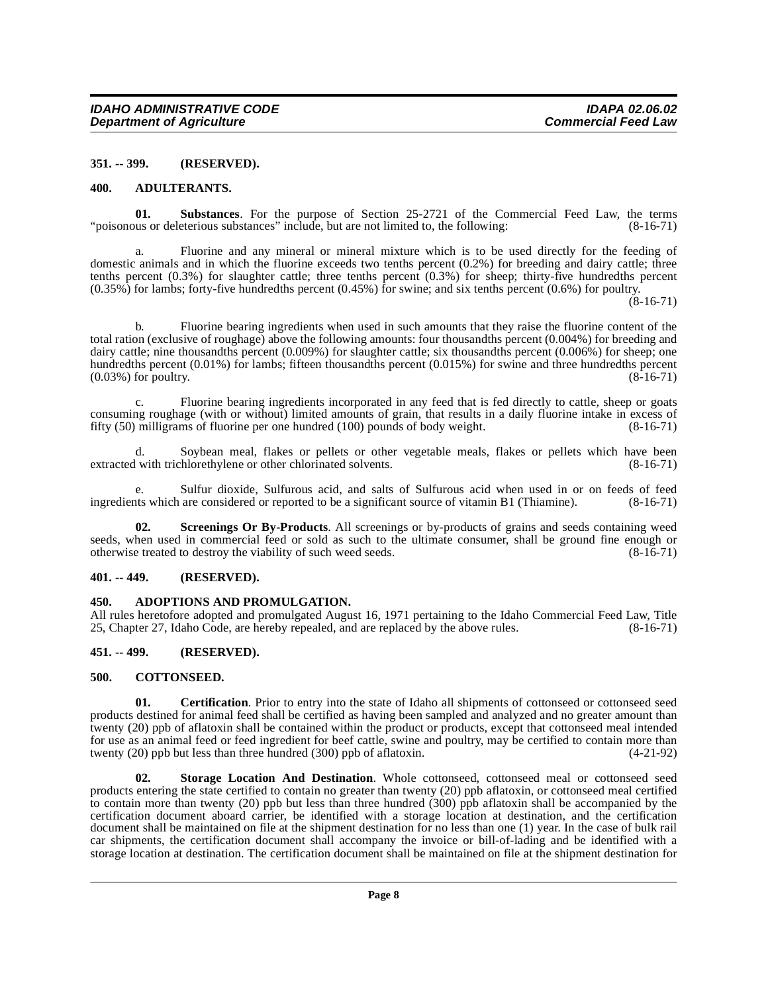#### <span id="page-7-0"></span>**351. -- 399. (RESERVED).**

#### <span id="page-7-7"></span><span id="page-7-1"></span>**400. ADULTERANTS.**

<span id="page-7-12"></span>**01. Substances**. For the purpose of Section 25-2721 of the Commercial Feed Law, the terms us or deleterious substances" include, but are not limited to, the following: (8-16-71) "poisonous or deleterious substances" include, but are not limited to, the following:

a. Fluorine and any mineral or mineral mixture which is to be used directly for the feeding of domestic animals and in which the fluorine exceeds two tenths percent (0.2%) for breeding and dairy cattle; three tenths percent  $(0.3\%)$  for slaughter cattle; three tenths percent  $(0.3\%)$  for sheep; thirty-five hundredths percent (0.35%) for lambs; forty-five hundredths percent (0.45%) for swine; and six tenths percent (0.6%) for poultry.

 $(8-16-71)$ 

b. Fluorine bearing ingredients when used in such amounts that they raise the fluorine content of the total ration (exclusive of roughage) above the following amounts: four thousandths percent (0.004%) for breeding and dairy cattle; nine thousandths percent (0.009%) for slaughter cattle; six thousandths percent (0.006%) for sheep; one hundredths percent (0.01%) for lambs; fifteen thousandths percent (0.015%) for swine and three hundredths percent  $(0.03\%)$  for poultry.  $(8-16-71)$ 

c. Fluorine bearing ingredients incorporated in any feed that is fed directly to cattle, sheep or goats consuming roughage (with or without) limited amounts of grain, that results in a daily fluorine intake in excess of fifty  $(50)$  milligrams of fluorine per one hundred  $(100)$  pounds of body weight.  $(8-16-71)$ fifty  $(50)$  milligrams of fluorine per one hundred  $(100)$  pounds of body weight.

d. Soybean meal, flakes or pellets or other vegetable meals, flakes or pellets which have been<br>with trichlorethylene or other chlorinated solvents. (8-16-71) extracted with trichlorethylene or other chlorinated solvents.

e. Sulfur dioxide, Sulfurous acid, and salts of Sulfurous acid when used in or on feeds of feed ingredients which are considered or reported to be a significant source of vitamin B1 (Thiamine). (8-16-71)

<span id="page-7-10"></span>**Screenings Or By-Products**. All screenings or by-products of grains and seeds containing weed seeds, when used in commercial feed or sold as such to the ultimate consumer, shall be ground fine enough or otherwise treated to destroy the viability of such weed seeds. (8-16-71) otherwise treated to destroy the viability of such weed seeds.

#### <span id="page-7-2"></span>**401. -- 449. (RESERVED).**

#### <span id="page-7-6"></span><span id="page-7-3"></span>**450. ADOPTIONS AND PROMULGATION.**

All rules heretofore adopted and promulgated August 16, 1971 pertaining to the Idaho Commercial Feed Law, Title 25, Chapter 27, Idaho Code, are hereby repealed, and are replaced by the above rules. (8-16-71)

#### <span id="page-7-4"></span>**451. -- 499. (RESERVED).**

#### <span id="page-7-9"></span><span id="page-7-5"></span>**500. COTTONSEED.**

<span id="page-7-8"></span>**01.** Certification. Prior to entry into the state of Idaho all shipments of cottonseed or cottonseed seed products destined for animal feed shall be certified as having been sampled and analyzed and no greater amount than twenty (20) ppb of aflatoxin shall be contained within the product or products, except that cottonseed meal intended for use as an animal feed or feed ingredient for beef cattle, swine and poultry, may be certified to contain more than twenty (20) ppb but less than three hundred (300) ppb of aflatoxin. (4-21-92)

<span id="page-7-11"></span>**02. Storage Location And Destination**. Whole cottonseed, cottonseed meal or cottonseed seed products entering the state certified to contain no greater than twenty (20) ppb aflatoxin, or cottonseed meal certified to contain more than twenty (20) ppb but less than three hundred (300) ppb aflatoxin shall be accompanied by the certification document aboard carrier, be identified with a storage location at destination, and the certification document shall be maintained on file at the shipment destination for no less than one (1) year. In the case of bulk rail car shipments, the certification document shall accompany the invoice or bill-of-lading and be identified with a storage location at destination. The certification document shall be maintained on file at the shipment destination for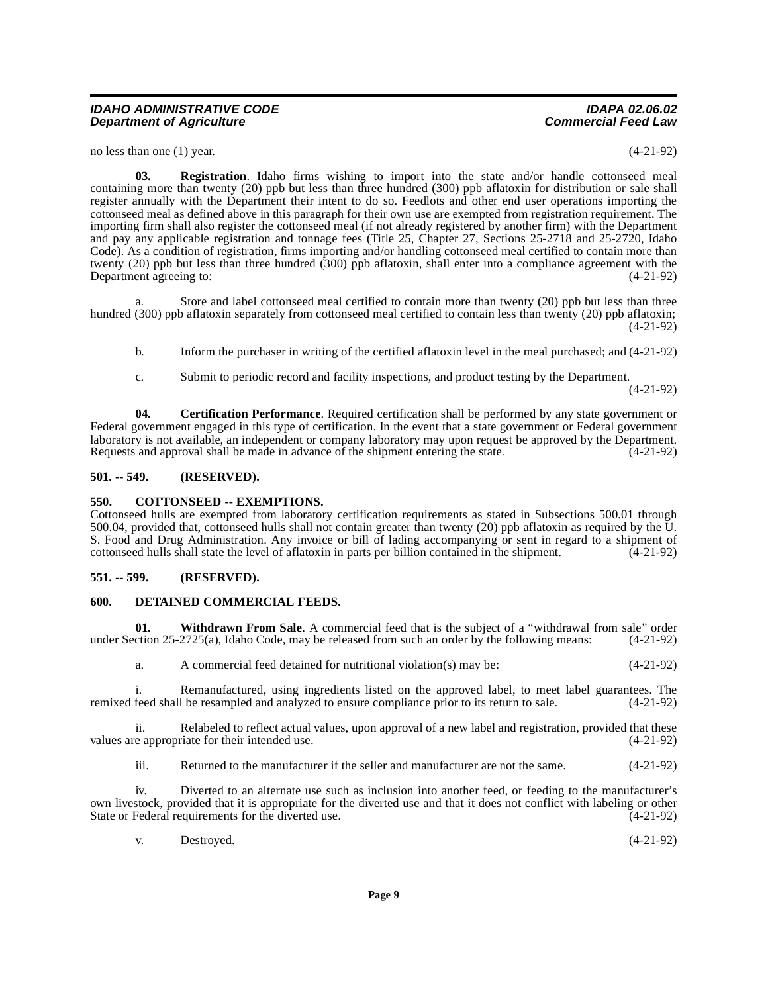no less than one (1) year. (4-21-92)

<span id="page-8-7"></span>**03. Registration**. Idaho firms wishing to import into the state and/or handle cottonseed meal containing more than twenty (20) ppb but less than three hundred (300) ppb aflatoxin for distribution or sale shall register annually with the Department their intent to do so. Feedlots and other end user operations importing the cottonseed meal as defined above in this paragraph for their own use are exempted from registration requirement. The importing firm shall also register the cottonseed meal (if not already registered by another firm) with the Department and pay any applicable registration and tonnage fees (Title 25, Chapter 27, Sections 25-2718 and 25-2720, Idaho Code). As a condition of registration, firms importing and/or handling cottonseed meal certified to contain more than twenty (20) ppb but less than three hundred (300) ppb aflatoxin, shall enter into a compliance agreement with the Department agreeing to: (4-21-92)

Store and label cottonseed meal certified to contain more than twenty (20) ppb but less than three hundred (300) ppb aflatoxin separately from cottonseed meal certified to contain less than twenty (20) ppb aflatoxin; (4-21-92)

- b. Inform the purchaser in writing of the certified aflatoxin level in the meal purchased; and (4-21-92)
- <span id="page-8-4"></span>c. Submit to periodic record and facility inspections, and product testing by the Department.

(4-21-92)

**04. Certification Performance**. Required certification shall be performed by any state government or Federal government engaged in this type of certification. In the event that a state government or Federal government laboratory is not available, an independent or company laboratory may upon request be approved by the Department. Requests and approval shall be made in advance of the shipment entering the state. (4-21-92)

#### <span id="page-8-0"></span>**501. -- 549. (RESERVED).**

#### <span id="page-8-5"></span><span id="page-8-1"></span>**550. COTTONSEED -- EXEMPTIONS.**

Cottonseed hulls are exempted from laboratory certification requirements as stated in Subsections 500.01 through 500.04, provided that, cottonseed hulls shall not contain greater than twenty (20) ppb aflatoxin as required by the U. S. Food and Drug Administration. Any invoice or bill of lading accompanying or sent in regard to a shipment of cottonseed hulls shall state the level of aflatoxin in parts per billion contained in the shipment. (4-21-92)

#### <span id="page-8-2"></span>**551. -- 599. (RESERVED).**

#### <span id="page-8-6"></span><span id="page-8-3"></span>**600. DETAINED COMMERCIAL FEEDS.**

**01.** Withdrawn From Sale. A commercial feed that is the subject of a "withdrawal from sale" order ction 25-2725(a), Idaho Code, may be released from such an order by the following means: (4-21-92) under Section  $25-2725(a)$ , Idaho Code, may be released from such an order by the following means:

<span id="page-8-8"></span>a. A commercial feed detained for nutritional violation(s) may be: (4-21-92)

i. Remanufactured, using ingredients listed on the approved label, to meet label guarantees. The feed shall be resampled and analyzed to ensure compliance prior to its return to sale. (4-21-92) remixed feed shall be resampled and analyzed to ensure compliance prior to its return to sale.

ii. Relabeled to reflect actual values, upon approval of a new label and registration, provided that these values are appropriate for their intended use. (4-21-92)

iii. Returned to the manufacturer if the seller and manufacturer are not the same. (4-21-92)

iv. Diverted to an alternate use such as inclusion into another feed, or feeding to the manufacturer's own livestock, provided that it is appropriate for the diverted use and that it does not conflict with labeling or other<br>State or Federal requirements for the diverted use. (4-21-92) State or Federal requirements for the diverted use.

| $V_{\rm A}$ | Destroyed. | $(4-21-92)$ |  |
|-------------|------------|-------------|--|
|-------------|------------|-------------|--|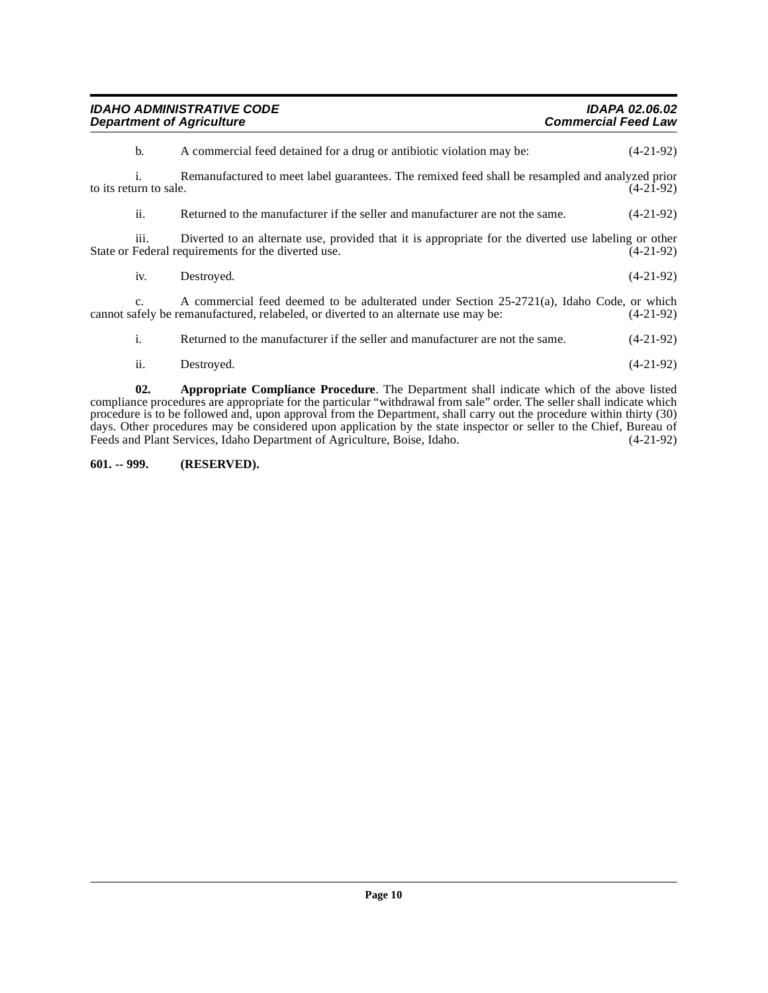| <b>IDAHO ADMINISTRATIVE CODE</b><br><b>Department of Agriculture</b>                                                            |                                                                                                                                                                                  | <b>IDAPA 02.06.02</b><br><b>Commercial Feed Law</b> |  |
|---------------------------------------------------------------------------------------------------------------------------------|----------------------------------------------------------------------------------------------------------------------------------------------------------------------------------|-----------------------------------------------------|--|
| b.                                                                                                                              | A commercial feed detained for a drug or antibiotic violation may be:                                                                                                            | $(4-21-92)$                                         |  |
| i.<br>Remanufactured to meet label guarantees. The remixed feed shall be resampled and analyzed prior<br>to its return to sale. |                                                                                                                                                                                  |                                                     |  |
| ii.                                                                                                                             | Returned to the manufacturer if the seller and manufacturer are not the same.                                                                                                    | $(4-21-92)$                                         |  |
| 111.                                                                                                                            | Diverted to an alternate use, provided that it is appropriate for the diverted use labeling or other<br>State or Federal requirements for the diverted use.                      | $(4-21-92)$                                         |  |
| iv.                                                                                                                             | Destroyed.                                                                                                                                                                       | $(4-21-92)$                                         |  |
| $\mathbf{c}$ .                                                                                                                  | A commercial feed deemed to be adulterated under Section 25-2721(a), Idaho Code, or which<br>cannot safely be remanufactured, relabeled, or diverted to an alternate use may be: | $(4-21-92)$                                         |  |
| i.                                                                                                                              | Returned to the manufacturer if the seller and manufacturer are not the same.                                                                                                    | $(4-21-92)$                                         |  |
| ii.                                                                                                                             | Destroyed.                                                                                                                                                                       | $(4-21-92)$                                         |  |

<span id="page-9-1"></span>**02. Appropriate Compliance Procedure**. The Department shall indicate which of the above listed compliance procedures are appropriate for the particular "withdrawal from sale" order. The seller shall indicate which procedure is to be followed and, upon approval from the Department, shall carry out the procedure within thirty (30) days. Other procedures may be considered upon application by the state inspector or seller to the Chief, Bureau of Feeds and Plant Services, Idaho Department of Agriculture, Boise, Idaho. (4-21-92)

### <span id="page-9-0"></span>**601. -- 999. (RESERVED).**